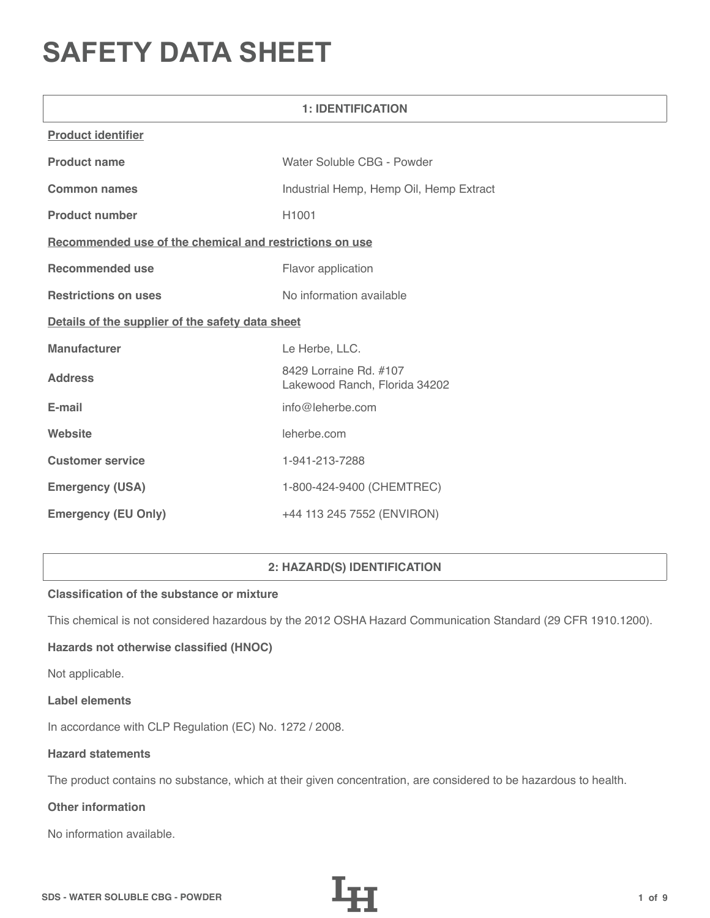# **SAFETY DATA SHEET**

| <b>1: IDENTIFICATION</b>                                |                                                         |  |  |
|---------------------------------------------------------|---------------------------------------------------------|--|--|
| <b>Product identifier</b>                               |                                                         |  |  |
| <b>Product name</b>                                     | Water Soluble CBG - Powder                              |  |  |
| <b>Common names</b>                                     | Industrial Hemp, Hemp Oil, Hemp Extract                 |  |  |
| <b>Product number</b>                                   | H <sub>1001</sub>                                       |  |  |
| Recommended use of the chemical and restrictions on use |                                                         |  |  |
| <b>Recommended use</b>                                  | Flavor application                                      |  |  |
| <b>Restrictions on uses</b>                             | No information available                                |  |  |
| Details of the supplier of the safety data sheet        |                                                         |  |  |
| <b>Manufacturer</b>                                     | Le Herbe, LLC.                                          |  |  |
| <b>Address</b>                                          | 8429 Lorraine Rd. #107<br>Lakewood Ranch, Florida 34202 |  |  |
| E-mail                                                  | info@leherbe.com                                        |  |  |
| Website                                                 | leherbe.com                                             |  |  |
| <b>Customer service</b>                                 | 1-941-213-7288                                          |  |  |
| <b>Emergency (USA)</b>                                  | 1-800-424-9400 (CHEMTREC)                               |  |  |
| <b>Emergency (EU Only)</b>                              | +44 113 245 7552 (ENVIRON)                              |  |  |

# **2: HAZARD(S) IDENTIFICATION**

# **Classification of the substance or mixture**

This chemical is not considered hazardous by the 2012 OSHA Hazard Communication Standard (29 CFR 1910.1200).

# **Hazards not otherwise classified (HNOC)**

Not applicable.

#### **Label elements**

In accordance with CLP Regulation (EC) No. 1272 / 2008.

## **Hazard statements**

The product contains no substance, which at their given concentration, are considered to be hazardous to health.

# **Other information**

No information available.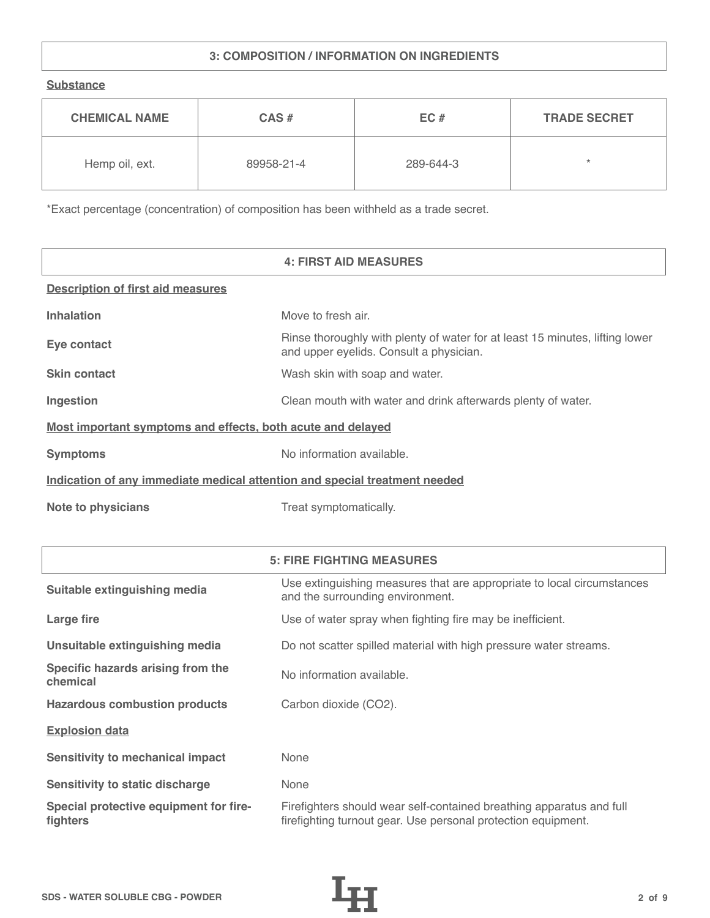# **3: COMPOSITION / INFORMATION ON INGREDIENTS**

**Substance**

| <b>CHEMICAL NAME</b> | $CAS \#$   | EC#       | <b>TRADE SECRET</b> |
|----------------------|------------|-----------|---------------------|
| Hemp oil, ext.       | 89958-21-4 | 289-644-3 | $\star$             |

\*Exact percentage (concentration) of composition has been withheld as a trade secret.

|                                                                            | <b>4: FIRST AID MEASURES</b>                                                                                            |  |
|----------------------------------------------------------------------------|-------------------------------------------------------------------------------------------------------------------------|--|
| <b>Description of first aid measures</b>                                   |                                                                                                                         |  |
| <b>Inhalation</b>                                                          | Move to fresh air.                                                                                                      |  |
| Eye contact                                                                | Rinse thoroughly with plenty of water for at least 15 minutes, lifting lower<br>and upper eyelids. Consult a physician. |  |
| <b>Skin contact</b>                                                        | Wash skin with soap and water.                                                                                          |  |
| Ingestion                                                                  | Clean mouth with water and drink afterwards plenty of water.                                                            |  |
| Most important symptoms and effects, both acute and delayed                |                                                                                                                         |  |
| <b>Symptoms</b>                                                            | No information available.                                                                                               |  |
| Indication of any immediate medical attention and special treatment needed |                                                                                                                         |  |
| <b>Note to physicians</b>                                                  | Treat symptomatically.                                                                                                  |  |

|                                                    | <b>5: FIRE FIGHTING MEASURES</b>                                                                                                      |
|----------------------------------------------------|---------------------------------------------------------------------------------------------------------------------------------------|
| Suitable extinguishing media                       | Use extinguishing measures that are appropriate to local circumstances<br>and the surrounding environment.                            |
| Large fire                                         | Use of water spray when fighting fire may be inefficient.                                                                             |
| Unsuitable extinguishing media                     | Do not scatter spilled material with high pressure water streams.                                                                     |
| Specific hazards arising from the<br>chemical      | No information available.                                                                                                             |
| <b>Hazardous combustion products</b>               | Carbon dioxide (CO2).                                                                                                                 |
| <b>Explosion data</b>                              |                                                                                                                                       |
| Sensitivity to mechanical impact                   | None                                                                                                                                  |
| Sensitivity to static discharge                    | None                                                                                                                                  |
| Special protective equipment for fire-<br>fighters | Firefighters should wear self-contained breathing apparatus and full<br>firefighting turnout gear. Use personal protection equipment. |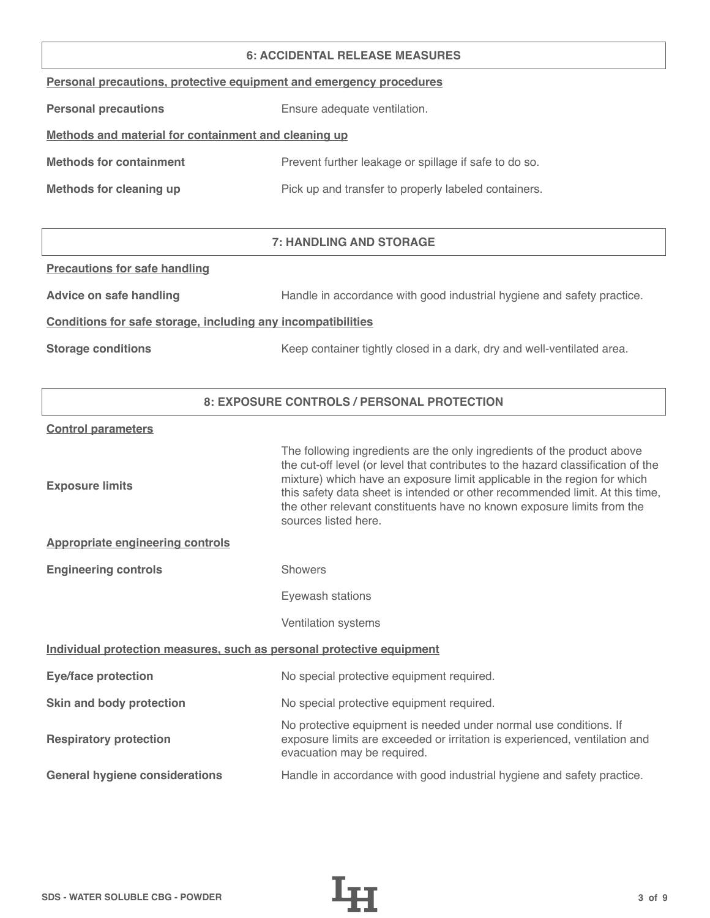#### **6: ACCIDENTAL RELEASE MEASURES**

|  |  | Personal precautions, protective equipment and emergency procedures |  |
|--|--|---------------------------------------------------------------------|--|
|  |  |                                                                     |  |

**Personal precautions** Ensure adequate ventilation.

# **Methods and material for containment and cleaning up**

| <b>Methods for containment</b> | Prevent further leakage or spillage if safe to do so. |
|--------------------------------|-------------------------------------------------------|
|                                |                                                       |

**Methods for cleaning up Pick up and transfer to properly labeled containers.** 

# **7: HANDLING AND STORAGE**

## **Precautions for safe handling**

Advice on safe handling **Handle in accordance with good industrial hygiene and safety practice.** 

## **Conditions for safe storage, including any incompatibilities**

**Storage conditions** Keep container tightly closed in a dark, dry and well-ventilated area.

# **8: EXPOSURE CONTROLS / PERSONAL PROTECTION**

#### **Control parameters**

| The following ingredients are the only ingredients of the product above<br>the cut-off level (or level that contributes to the hazard classification of the<br>mixture) which have an exposure limit applicable in the region for which<br>this safety data sheet is intended or other recommended limit. At this time,<br>the other relevant constituents have no known exposure limits from the<br>sources listed here. |  |  |
|---------------------------------------------------------------------------------------------------------------------------------------------------------------------------------------------------------------------------------------------------------------------------------------------------------------------------------------------------------------------------------------------------------------------------|--|--|
|                                                                                                                                                                                                                                                                                                                                                                                                                           |  |  |
| <b>Showers</b>                                                                                                                                                                                                                                                                                                                                                                                                            |  |  |
| Eyewash stations                                                                                                                                                                                                                                                                                                                                                                                                          |  |  |
| Ventilation systems                                                                                                                                                                                                                                                                                                                                                                                                       |  |  |
| Individual protection measures, such as personal protective equipment                                                                                                                                                                                                                                                                                                                                                     |  |  |
| No special protective equipment required.                                                                                                                                                                                                                                                                                                                                                                                 |  |  |
| No special protective equipment required.                                                                                                                                                                                                                                                                                                                                                                                 |  |  |
| No protective equipment is needed under normal use conditions. If<br>exposure limits are exceeded or irritation is experienced, ventilation and<br>evacuation may be required.                                                                                                                                                                                                                                            |  |  |
| Handle in accordance with good industrial hygiene and safety practice.                                                                                                                                                                                                                                                                                                                                                    |  |  |
|                                                                                                                                                                                                                                                                                                                                                                                                                           |  |  |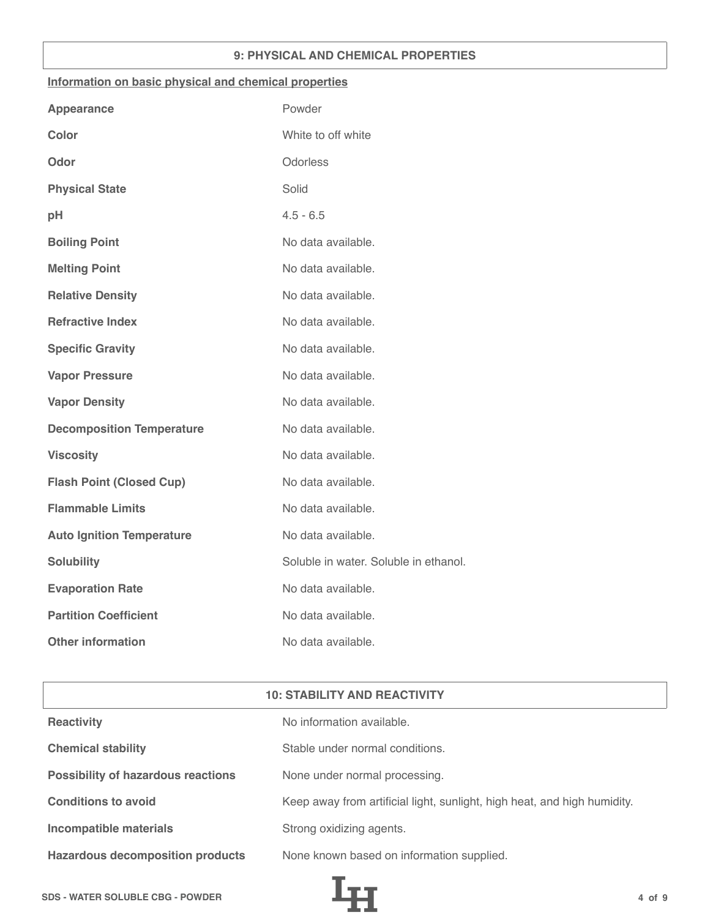## **9: PHYSICAL AND CHEMICAL PROPERTIES**

## **Information on basic physical and chemical properties**

| Powder                                |
|---------------------------------------|
| White to off white                    |
| Odorless                              |
| Solid                                 |
| $4.5 - 6.5$                           |
| No data available.                    |
| No data available.                    |
| No data available.                    |
| No data available.                    |
| No data available.                    |
| No data available.                    |
| No data available.                    |
| No data available.                    |
| No data available.                    |
| No data available.                    |
| No data available.                    |
| No data available.                    |
| Soluble in water. Soluble in ethanol. |
| No data available.                    |
| No data available.                    |
| No data available.                    |
|                                       |

| <b>10: STABILITY AND REACTIVITY</b>       |                                                                          |  |
|-------------------------------------------|--------------------------------------------------------------------------|--|
| <b>Reactivity</b>                         | No information available.                                                |  |
| <b>Chemical stability</b>                 | Stable under normal conditions.                                          |  |
| <b>Possibility of hazardous reactions</b> | None under normal processing.                                            |  |
| <b>Conditions to avoid</b>                | Keep away from artificial light, sunlight, high heat, and high humidity. |  |
| <b>Incompatible materials</b>             | Strong oxidizing agents.                                                 |  |
| <b>Hazardous decomposition products</b>   | None known based on information supplied.                                |  |

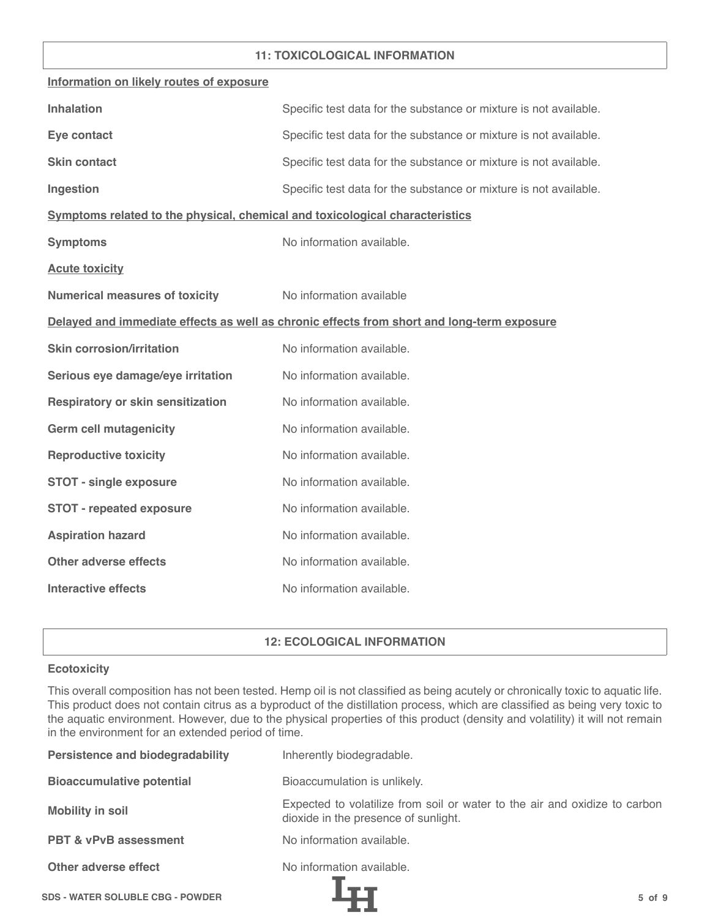## **11: TOXICOLOGICAL INFORMATION**

| Information on likely routes of exposure                                     |                                                                                            |
|------------------------------------------------------------------------------|--------------------------------------------------------------------------------------------|
| <b>Inhalation</b>                                                            | Specific test data for the substance or mixture is not available.                          |
| Eye contact                                                                  | Specific test data for the substance or mixture is not available.                          |
| <b>Skin contact</b>                                                          | Specific test data for the substance or mixture is not available.                          |
| Ingestion                                                                    | Specific test data for the substance or mixture is not available.                          |
| Symptoms related to the physical, chemical and toxicological characteristics |                                                                                            |
| <b>Symptoms</b>                                                              | No information available.                                                                  |
| <b>Acute toxicity</b>                                                        |                                                                                            |
| <b>Numerical measures of toxicity</b>                                        | No information available                                                                   |
|                                                                              | Delayed and immediate effects as well as chronic effects from short and long-term exposure |
| <b>Skin corrosion/irritation</b>                                             | No information available.                                                                  |
| Serious eye damage/eye irritation                                            | No information available.                                                                  |
| <b>Respiratory or skin sensitization</b>                                     | No information available.                                                                  |
| <b>Germ cell mutagenicity</b>                                                | No information available.                                                                  |
| <b>Reproductive toxicity</b>                                                 | No information available.                                                                  |
| <b>STOT - single exposure</b>                                                | No information available.                                                                  |
| <b>STOT - repeated exposure</b>                                              | No information available.                                                                  |
| <b>Aspiration hazard</b>                                                     | No information available.                                                                  |
| <b>Other adverse effects</b>                                                 | No information available.                                                                  |
| <b>Interactive effects</b>                                                   | No information available.                                                                  |

# **12: ECOLOGICAL INFORMATION**

## **Ecotoxicity**

This overall composition has not been tested. Hemp oil is not classified as being acutely or chronically toxic to aquatic life. This product does not contain citrus as a byproduct of the distillation process, which are classified as being very toxic to the aquatic environment. However, due to the physical properties of this product (density and volatility) it will not remain in the environment for an extended period of time.

| <b>Persistence and biodegradability</b> | Inherently biodegradable.                                                                                          |
|-----------------------------------------|--------------------------------------------------------------------------------------------------------------------|
| <b>Bioaccumulative potential</b>        | Bioaccumulation is unlikely.                                                                                       |
| <b>Mobility in soil</b>                 | Expected to volatilize from soil or water to the air and oxidize to carbon<br>dioxide in the presence of sunlight. |
| <b>PBT &amp; vPvB assessment</b>        | No information available.                                                                                          |
| Other adverse effect                    | No information available.                                                                                          |
| <b>SDS - WATER SOLUBLE CBG - POWDER</b> | $5$ of $9$                                                                                                         |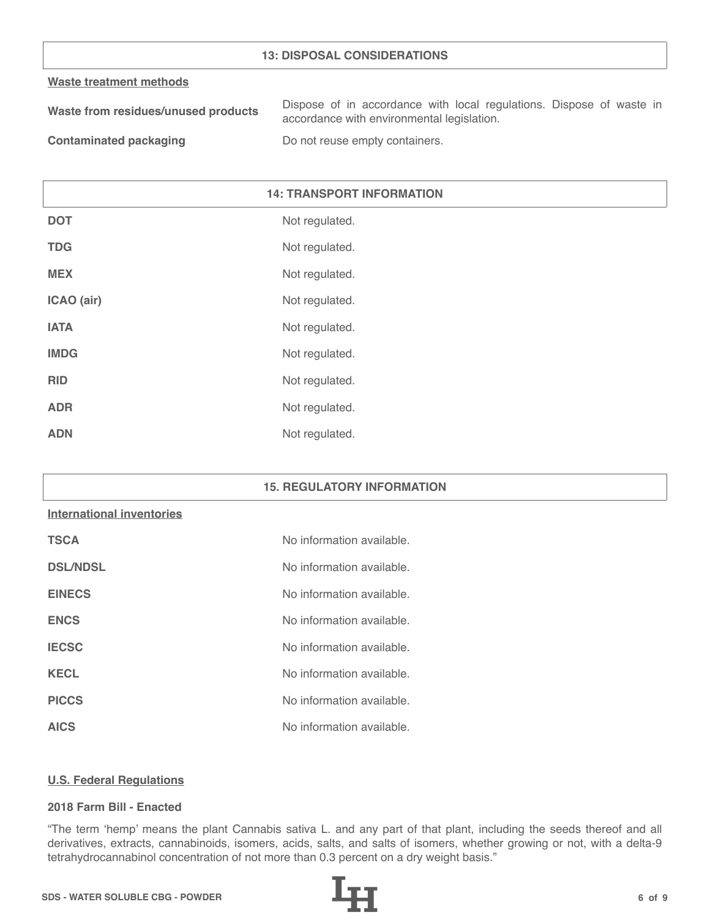## **13: DISPOSAL CONSIDERATIONS**

#### **Waste treatment methods**

| Waste from residues/unused products | Dispose of in accordance with local regulations. Dispose of waste in |
|-------------------------------------|----------------------------------------------------------------------|
|                                     | accordance with environmental legislation.                           |
|                                     |                                                                      |

**Contaminated packaging The Contaminated packaging Containers.** 

# **14: TRANSPORT INFORMATION**

| <b>DOT</b>  | Not regulated. |
|-------------|----------------|
| <b>TDG</b>  | Not regulated. |
| <b>MEX</b>  | Not regulated. |
| ICAO (air)  | Not regulated. |
| <b>IATA</b> | Not regulated. |
| <b>IMDG</b> | Not regulated. |
| <b>RID</b>  | Not regulated. |
| <b>ADR</b>  | Not regulated. |
| <b>ADN</b>  | Not regulated. |

#### **15. REGULATORY INFORMATION**

#### **International inventories**

| <b>TSCA</b>     | No information available. |
|-----------------|---------------------------|
| <b>DSL/NDSL</b> | No information available. |
| <b>EINECS</b>   | No information available. |
| <b>ENCS</b>     | No information available. |
| <b>IECSC</b>    | No information available. |
| <b>KECL</b>     | No information available. |
| <b>PICCS</b>    | No information available. |
| <b>AICS</b>     | No information available. |

#### **U.S. Federal Regulations**

## **2018 Farm Bill - Enacted**

"The term 'hemp' means the plant Cannabis sativa L. and any part of that plant, including the seeds thereof and all derivatives, extracts, cannabinoids, isomers, acids, salts, and salts of isomers, whether growing or not, with a delta-9 tetrahydrocannabinol concentration of not more than 0.3 percent on a dry weight basis."

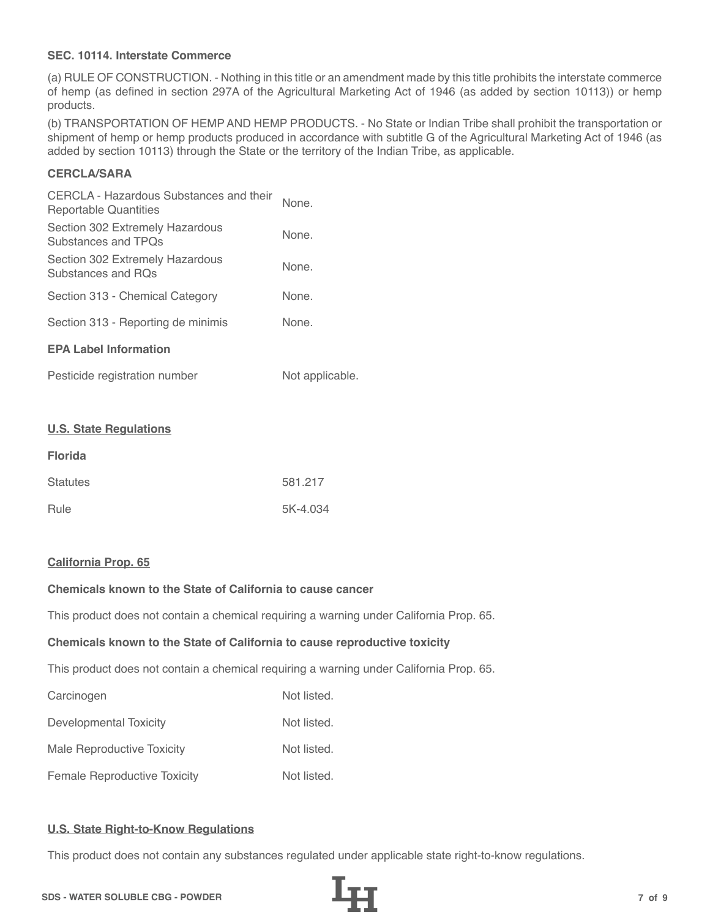## **SEC. 10114. Interstate Commerce**

(a) RULE OF CONSTRUCTION. - Nothing in this title or an amendment made by this title prohibits the interstate commerce of hemp (as defined in section 297A of the Agricultural Marketing Act of 1946 (as added by section 10113)) or hemp products.

(b) TRANSPORTATION OF HEMP AND HEMP PRODUCTS. - No State or Indian Tribe shall prohibit the transportation or shipment of hemp or hemp products produced in accordance with subtitle G of the Agricultural Marketing Act of 1946 (as added by section 10113) through the State or the territory of the Indian Tribe, as applicable.

# **CERCLA/SARA**

| CERCLA - Hazardous Substances and their<br>Reportable Quantities | None. |  |
|------------------------------------------------------------------|-------|--|
| Section 302 Extremely Hazardous<br>Substances and TPOs           | None. |  |
| Section 302 Extremely Hazardous<br>Substances and ROs            | None. |  |
| Section 313 - Chemical Category                                  | None. |  |
| Section 313 - Reporting de minimis                               | None. |  |
| <b>EPA Label Information</b>                                     |       |  |
|                                                                  |       |  |

| Pesticide registration number | Not applicable. |
|-------------------------------|-----------------|
|-------------------------------|-----------------|

#### **U.S. State Regulations**

| <b>Florida</b>  |          |
|-----------------|----------|
| <b>Statutes</b> | 581.217  |
| Rule            | 5K-4.034 |

#### **California Prop. 65**

# **Chemicals known to the State of California to cause cancer**

This product does not contain a chemical requiring a warning under California Prop. 65.

#### **Chemicals known to the State of California to cause reproductive toxicity**

This product does not contain a chemical requiring a warning under California Prop. 65.

| Carcinogen                          | Not listed. |
|-------------------------------------|-------------|
| Developmental Toxicity              | Not listed. |
| Male Reproductive Toxicity          | Not listed. |
| <b>Female Reproductive Toxicity</b> | Not listed. |

#### **U.S. State Right-to-Know Regulations**

This product does not contain any substances regulated under applicable state right-to-know regulations.

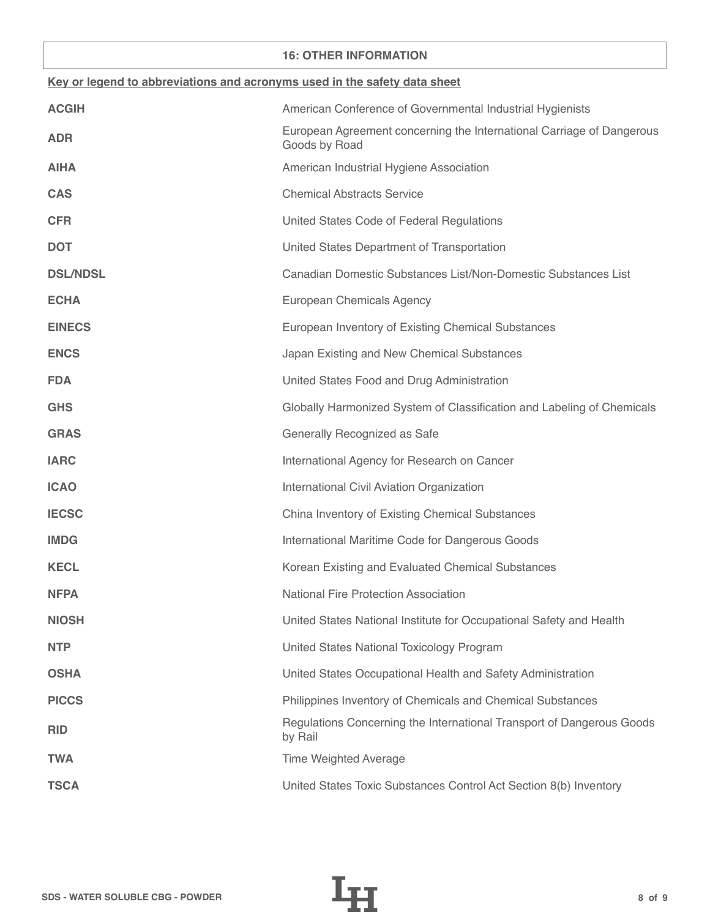## **16: OTHER INFORMATION**

| Key or legend to abbreviations and acronyms used in the safety data sheet |                                                                                        |  |
|---------------------------------------------------------------------------|----------------------------------------------------------------------------------------|--|
| <b>ACGIH</b>                                                              | American Conference of Governmental Industrial Hygienists                              |  |
| <b>ADR</b>                                                                | European Agreement concerning the International Carriage of Dangerous<br>Goods by Road |  |
| <b>AIHA</b>                                                               | American Industrial Hygiene Association                                                |  |
| <b>CAS</b>                                                                | <b>Chemical Abstracts Service</b>                                                      |  |
| <b>CFR</b>                                                                | United States Code of Federal Regulations                                              |  |
| <b>DOT</b>                                                                | United States Department of Transportation                                             |  |
| <b>DSL/NDSL</b>                                                           | Canadian Domestic Substances List/Non-Domestic Substances List                         |  |
| <b>ECHA</b>                                                               | European Chemicals Agency                                                              |  |
| <b>EINECS</b>                                                             | European Inventory of Existing Chemical Substances                                     |  |
| <b>ENCS</b>                                                               | Japan Existing and New Chemical Substances                                             |  |
| <b>FDA</b>                                                                | United States Food and Drug Administration                                             |  |
| <b>GHS</b>                                                                | Globally Harmonized System of Classification and Labeling of Chemicals                 |  |
| <b>GRAS</b>                                                               | Generally Recognized as Safe                                                           |  |
| <b>IARC</b>                                                               | International Agency for Research on Cancer                                            |  |
| <b>ICAO</b>                                                               | International Civil Aviation Organization                                              |  |
| <b>IECSC</b>                                                              | China Inventory of Existing Chemical Substances                                        |  |
| <b>IMDG</b>                                                               | International Maritime Code for Dangerous Goods                                        |  |
| <b>KECL</b>                                                               | Korean Existing and Evaluated Chemical Substances                                      |  |
| <b>NFPA</b>                                                               | <b>National Fire Protection Association</b>                                            |  |
| <b>NIOSH</b>                                                              | United States National Institute for Occupational Safety and Health                    |  |
| <b>NTP</b>                                                                | United States National Toxicology Program                                              |  |
| <b>OSHA</b>                                                               | United States Occupational Health and Safety Administration                            |  |
| <b>PICCS</b>                                                              | Philippines Inventory of Chemicals and Chemical Substances                             |  |
| <b>RID</b>                                                                | Regulations Concerning the International Transport of Dangerous Goods<br>by Rail       |  |
| <b>TWA</b>                                                                | <b>Time Weighted Average</b>                                                           |  |
| <b>TSCA</b>                                                               | United States Toxic Substances Control Act Section 8(b) Inventory                      |  |